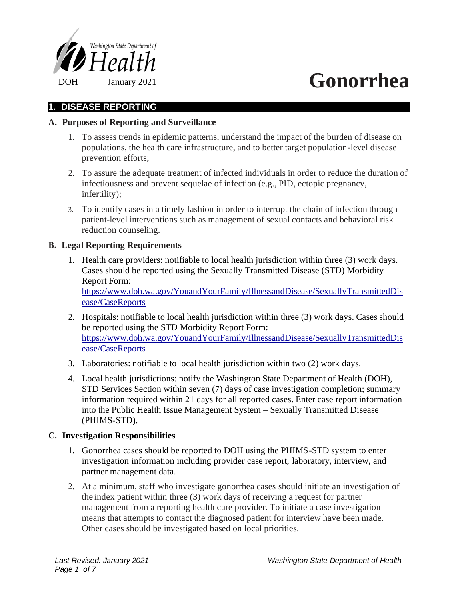

## **1. DISEASE REPORTING**

## **A. Purposes of Reporting and Surveillance**

- 1. To assess trends in epidemic patterns, understand the impact of the burden of disease on populations, the health care infrastructure, and to better target population-level disease prevention efforts;
- 2. To assure the adequate treatment of infected individuals in order to reduce the duration of infectiousness and prevent sequelae of infection (e.g., PID, ectopic pregnancy, infertility);
- 3. To identify cases in a timely fashion in order to interrupt the chain of infection through patient-level interventions such as management of sexual contacts and behavioral risk reduction counseling.

## **B. Legal Reporting Requirements**

- 1. Health care providers: notifiable to local health jurisdiction within three (3) work days. Cases should be reported using the Sexually Transmitted Disease (STD) Morbidity Report Form: https://www.doh.wa.gov/YouandYourFamily/IllnessandDisease/SexuallyTransmittedDis ease/CaseReports
- 2. Hospitals: notifiable to local health jurisdiction within three (3) work days. Cases should be reported using the STD Morbidity Report Form: https://www.doh.wa.gov/YouandYourFamily/IllnessandDisease/SexuallyTransmittedDis ease/CaseReports
- 3. Laboratories: notifiable to local health jurisdiction within two (2) work days.
- 4. Local health jurisdictions: notify the Washington State Department of Health (DOH), STD Services Section within seven (7) days of case investigation completion; summary information required within 21 days for all reported cases. Enter case report information into the Public Health Issue Management System – Sexually Transmitted Disease (PHIMS-STD).

## **C. Investigation Responsibilities**

- 1. Gonorrhea cases should be reported to DOH using the PHIMS-STD system to enter investigation information including provider case report, laboratory, interview, and partner management data.
- 2. At a minimum, staff who investigate gonorrhea cases should initiate an investigation of the index patient within three (3) work days of receiving a request for partner management from a reporting health care provider. To initiate a case investigation means that attempts to contact the diagnosed patient for interview have been made. Other cases should be investigated based on local priorities.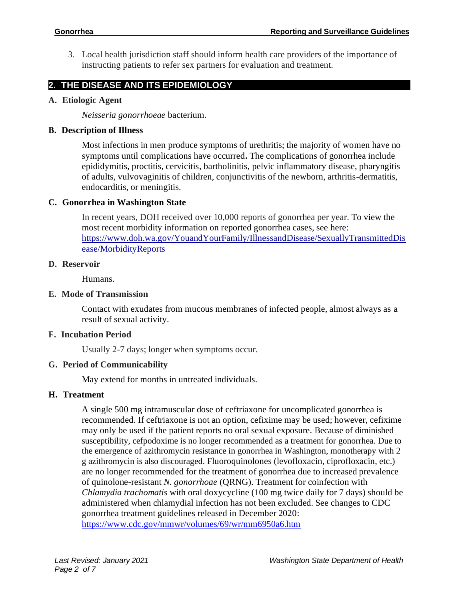3. Local health jurisdiction staff should inform health care providers of the importance of instructing patients to refer sex partners for evaluation and treatment.

## **2. THE DISEASE AND ITS EPIDEMIOLOGY**

## **A. Etiologic Agent**

*Neisseria gonorrhoeae* bacterium*.*

#### **B. Description of Illness**

Most infections in men produce symptoms of urethritis; the majority of women have no symptoms until complications have occurred**.** The complications of gonorrhea include epididymitis, proctitis, cervicitis, bartholinitis, pelvic inflammatory disease, pharyngitis of adults, vulvovaginitis of children, conjunctivitis of the newborn, arthritis-dermatitis, endocarditis, or meningitis.

## **C. Gonorrhea in Washington State**

In recent years, DOH received over 10,000 reports of gonorrhea per year. To view the most recent morbidity information on reported gonorrhea cases, see here: https://www.doh.wa.gov/YouandYourFamily/IllnessandDisease/SexuallyTransmittedDis ease/MorbidityReports

#### **D. Reservoir**

Humans.

## **E. Mode of Transmission**

Contact with exudates from mucous membranes of infected people, almost always as a result of sexual activity.

## **F. Incubation Period**

Usually 2-7 days; longer when symptoms occur.

## **G. Period of Communicability**

May extend for months in untreated individuals.

## **H. Treatment**

A single 500 mg intramuscular dose of ceftriaxone for uncomplicated gonorrhea is recommended. If ceftriaxone is not an option, cefixime may be used; however, cefixime may only be used if the patient reports no oral sexual exposure. Because of diminished susceptibility, cefpodoxime is no longer recommended as a treatment for gonorrhea. Due to the emergence of azithromycin resistance in gonorrhea in Washington, monotherapy with 2 g azithromycin is also discouraged. Fluoroquinolones (levofloxacin, ciprofloxacin, etc.) are no longer recommended for the treatment of gonorrhea due to increased prevalence of quinolone-resistant *N. gonorrhoae* (QRNG). Treatment for coinfection with *Chlamydia trachomatis* with oral doxycycline (100 mg twice daily for 7 days) should be administered when chlamydial infection has not been excluded. See changes to CDC gonorrhea treatment guidelines released in December 2020: <https://www.cdc.gov/mmwr/volumes/69/wr/mm6950a6.htm>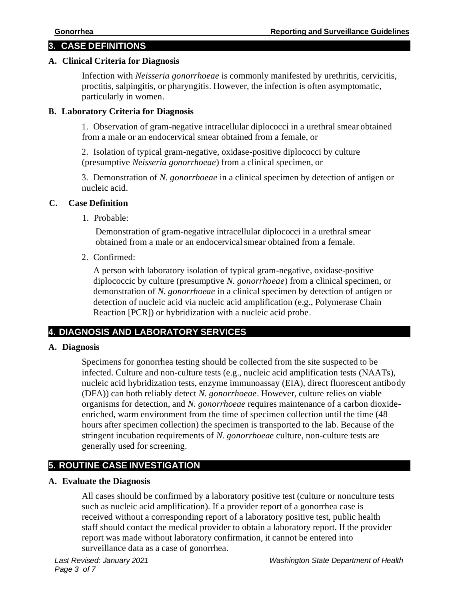# **3. CASE DEFINITIONS**

## **A. Clinical Criteria for Diagnosis**

Infection with *Neisseria gonorrhoeae* is commonly manifested by urethritis, cervicitis, proctitis, salpingitis, or pharyngitis. However, the infection is often asymptomatic, particularly in women.

## **B. Laboratory Criteria for Diagnosis**

1. Observation of gram-negative intracellular diplococci in a urethral smear obtained from a male or an endocervical smear obtained from a female, or

2. Isolation of typical gram-negative, oxidase-positive diplococci by culture (presumptive *Neisseria gonorrhoeae*) from a clinical specimen, or

3. Demonstration of *N. gonorrhoeae* in a clinical specimen by detection of antigen or nucleic acid.

## **C. Case Definition**

1. Probable:

Demonstration of gram-negative intracellular diplococci in a urethral smear obtained from a male or an endocervicalsmear obtained from a female.

2. Confirmed:

A person with laboratory isolation of typical gram-negative, oxidase-positive diplococcic by culture (presumptive *N. gonorrhoeae*) from a clinical specimen, or demonstration of *N. gonorrhoeae* in a clinical specimen by detection of antigen or detection of nucleic acid via nucleic acid amplification (e.g., Polymerase Chain Reaction [PCR]) or hybridization with a nucleic acid probe.

# **4. DIAGNOSIS AND LABORATORY SERVICES**

# **A. Diagnosis**

Specimens for gonorrhea testing should be collected from the site suspected to be infected. Culture and non-culture tests (e.g., nucleic acid amplification tests (NAATs), nucleic acid hybridization tests, enzyme immunoassay (EIA), direct fluorescent antibody (DFA)) can both reliably detect *N. gonorrhoeae*. However, culture relies on viable organisms for detection, and *N. gonorrhoeae* requires maintenance of a carbon dioxideenriched, warm environment from the time of specimen collection until the time (48 hours after specimen collection) the specimen is transported to the lab. Because of the stringent incubation requirements of *N. gonorrhoeae* culture, non-culture tests are generally used for screening.

# **5. ROUTINE CASE INVESTIGATION**

## **A. Evaluate the Diagnosis**

All cases should be confirmed by a laboratory positive test (culture or nonculture tests such as nucleic acid amplification). If a provider report of a gonorrhea case is received without a corresponding report of a laboratory positive test, public health staff should contact the medical provider to obtain a laboratory report. If the provider report was made without laboratory confirmation, it cannot be entered into surveillance data as a case of gonorrhea.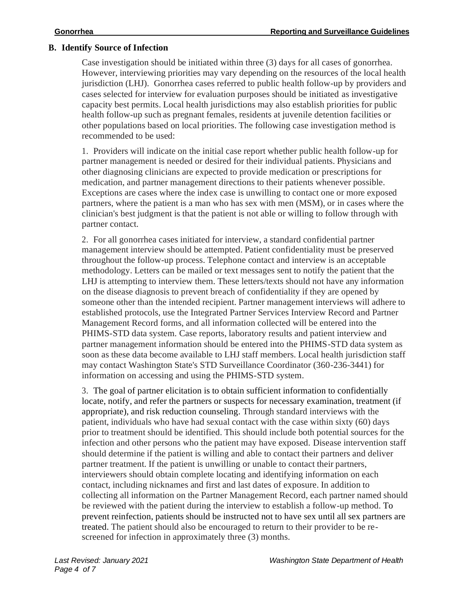## **B. Identify Source of Infection**

Case investigation should be initiated within three (3) days for all cases of gonorrhea. However, interviewing priorities may vary depending on the resources of the local health jurisdiction (LHJ). Gonorrhea cases referred to public health follow-up by providers and cases selected for interview for evaluation purposes should be initiated as investigative capacity best permits. Local health jurisdictions may also establish priorities for public health follow-up such as pregnant females, residents at juvenile detention facilities or other populations based on local priorities. The following case investigation method is recommended to be used:

1. Providers will indicate on the initial case report whether public health follow-up for partner management is needed or desired for their individual patients. Physicians and other diagnosing clinicians are expected to provide medication or prescriptions for medication, and partner management directions to their patients whenever possible. Exceptions are cases where the index case is unwilling to contact one or more exposed partners, where the patient is a man who has sex with men (MSM), or in cases where the clinician's best judgment is that the patient is not able or willing to follow through with partner contact.

2. For all gonorrhea cases initiated for interview, a standard confidential partner management interview should be attempted. Patient confidentiality must be preserved throughout the follow-up process. Telephone contact and interview is an acceptable methodology. Letters can be mailed or text messages sent to notify the patient that the LHJ is attempting to interview them. These letters/texts should not have any information on the disease diagnosis to prevent breach of confidentiality if they are opened by someone other than the intended recipient. Partner management interviews will adhere to established protocols, use the Integrated Partner Services Interview Record and Partner Management Record forms, and all information collected will be entered into the PHIMS-STD data system. Case reports, laboratory results and patient interview and partner management information should be entered into the PHIMS-STD data system as soon as these data become available to LHJ staff members. Local health jurisdiction staff may contact Washington State's STD Surveillance Coordinator (360-236-3441) for information on accessing and using the PHIMS-STD system.

3. The goal of partner elicitation is to obtain sufficient information to confidentially locate, notify, and refer the partners or suspects for necessary examination, treatment (if appropriate), and risk reduction counseling. Through standard interviews with the patient, individuals who have had sexual contact with the case within sixty (60) days prior to treatment should be identified. This should include both potential sources for the infection and other persons who the patient may have exposed. Disease intervention staff should determine if the patient is willing and able to contact their partners and deliver partner treatment. If the patient is unwilling or unable to contact their partners, interviewers should obtain complete locating and identifying information on each contact, including nicknames and first and last dates of exposure. In addition to collecting all information on the Partner Management Record, each partner named should be reviewed with the patient during the interview to establish a follow-up method. To prevent reinfection, patients should be instructed not to have sex until all sex partners are treated. The patient should also be encouraged to return to their provider to be rescreened for infection in approximately three (3) months.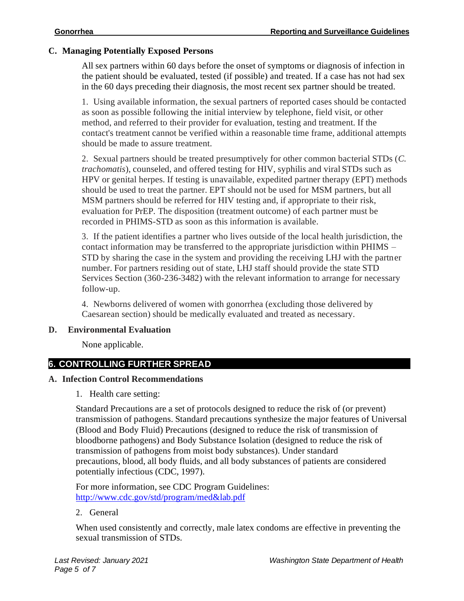## **C. Managing Potentially Exposed Persons**

All sex partners within 60 days before the onset of symptoms or diagnosis of infection in the patient should be evaluated, tested (if possible) and treated. If a case has not had sex in the 60 days preceding their diagnosis, the most recent sex partner should be treated.

1. Using available information, the sexual partners of reported cases should be contacted as soon as possible following the initial interview by telephone, field visit, or other method, and referred to their provider for evaluation, testing and treatment. If the contact's treatment cannot be verified within a reasonable time frame, additional attempts should be made to assure treatment.

2. Sexual partners should be treated presumptively for other common bacterial STDs (*C. trachomatis*), counseled, and offered testing for HIV, syphilis and viral STDs such as HPV or genital herpes. If testing is unavailable, expedited partner therapy (EPT) methods should be used to treat the partner. EPT should not be used for MSM partners, but all MSM partners should be referred for HIV testing and, if appropriate to their risk, evaluation for PrEP. The disposition (treatment outcome) of each partner must be recorded in PHIMS-STD as soon as this information is available.

3. If the patient identifies a partner who lives outside of the local health jurisdiction, the contact information may be transferred to the appropriate jurisdiction within PHIMS – STD by sharing the case in the system and providing the receiving LHJ with the partner number. For partners residing out of state, LHJ staff should provide the state STD Services Section (360-236-3482) with the relevant information to arrange for necessary follow-up.

4. Newborns delivered of women with gonorrhea (excluding those delivered by Caesarean section) should be medically evaluated and treated as necessary.

## **D. Environmental Evaluation**

None applicable.

## **6. CONTROLLING FURTHER SPREAD**

## **A. Infection Control Recommendations**

1. Health care setting:

Standard Precautions are a set of protocols designed to reduce the risk of (or prevent) transmission of pathogens. Standard precautions synthesize the major features of Universal (Blood and Body Fluid) Precautions (designed to reduce the risk of transmission of bloodborne pathogens) and Body Substance Isolation (designed to reduce the risk of transmission of pathogens from moist body substances). Under standard precautions, blood, all body fluids, and all body substances of patients are considered potentially infectious (CDC, 1997).

For more information, see CDC Program Guidelines: [http://www.cdc.gov/std/program/med&lab.pdf](http://www.cdc.gov/std/program/med%26lab.pdf)

## 2. General

When used consistently and correctly, male latex condoms are effective in preventing the sexual transmission of STDs.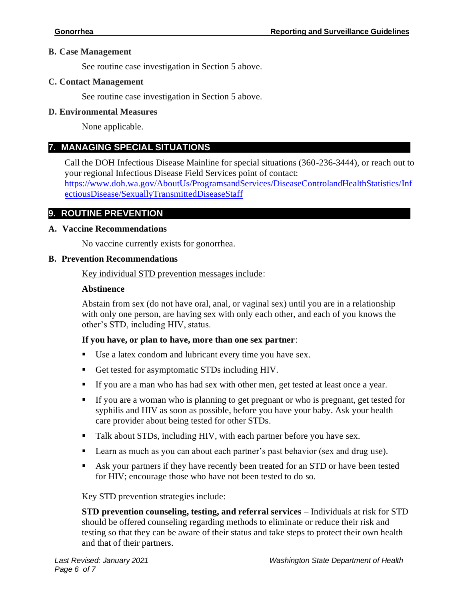#### **B. Case Management**

See routine case investigation in Section 5 above.

#### **C. Contact Management**

See routine case investigation in Section 5 above.

#### **D. Environmental Measures**

None applicable.

## **7. MANAGING SPECIAL SITUATIONS**

**8.** Call the DOH Infectious Disease Mainline for special situations (360-236-3444), or reach out to your regional Infectious Disease Field Services point of contact:

[https://www.doh.wa.gov/AboutUs/ProgramsandServices/DiseaseControlandHealthStatistics/Inf](https://www.doh.wa.gov/AboutUs/ProgramsandServices/DiseaseControlandHealthStatistics/InfectiousDisease/SexuallyTransmittedDiseaseStaff) [ectiousDisease/SexuallyTransmittedDiseaseStaff](https://www.doh.wa.gov/AboutUs/ProgramsandServices/DiseaseControlandHealthStatistics/InfectiousDisease/SexuallyTransmittedDiseaseStaff)

## **9. ROUTINE PREVENTION**

#### **A. Vaccine Recommendations**

No vaccine currently exists for gonorrhea.

#### **B. Prevention Recommendations**

Key individual STD prevention messages include:

#### **Abstinence**

Abstain from sex (do not have oral, anal, or vaginal sex) until you are in a relationship with only one person, are having sex with only each other, and each of you knows the other's STD, including HIV, status.

## **If you have, or plan to have, more than one sex partner**:

- Use a latex condom and lubricant every time you have sex.
- Get tested for asymptomatic STDs including HIV.
- If you are a man who has had sex with other men, get tested at least once a year.
- If you are a woman who is planning to get pregnant or who is pregnant, get tested for syphilis and HIV as soon as possible, before you have your baby. Ask your health care provider about being tested for other STDs.
- Talk about STDs, including HIV, with each partner before you have sex.
- Learn as much as you can about each partner's past behavior (sex and drug use).
- Ask your partners if they have recently been treated for an STD or have been tested for HIV; encourage those who have not been tested to do so.

## Key STD prevention strategies include:

**STD prevention counseling, testing, and referral services** – Individuals at risk for STD should be offered counseling regarding methods to eliminate or reduce their risk and testing so that they can be aware of their status and take steps to protect their own health and that of their partners.